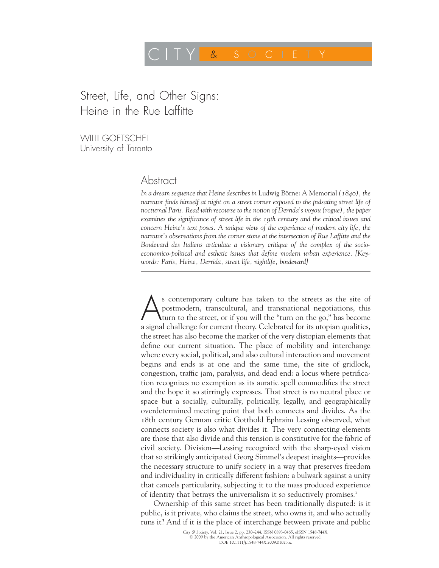#### $\&$ F

Street, Life, and Other Signs: Heine in the Rue Laffitte

WILLI GOFTSCHEL University of Toronto

## Abstract

*In a dream sequence that Heine describes in* Ludwig Börne: A Memorial *(1840), the narrator finds himself at night on a street corner exposed to the pulsating street life of nocturnal Paris. Read with recourse to the notion of Derrida's voyou (rogue), the paper examines the significance of street life in the 19th century and the critical issues and concern Heine's text poses. A unique view of the experience of modern city life, the narrator's observations from the corner stone at the intersection of Rue Laffitte and the Boulevard des Italiens articulate a visionary critique of the complex of the socioeconomico-political and esthetic issues that define modern urban experience. [Keywords: Paris, Heine, Derrida, street life, nightlife, boulevard]*

Soontemporary culture has taken to the streets as the site of postmodern, transcultural, and transnational negotiations, this turn to the street, or if you will the "turn on the go," has become a signal challenge for curre postmodern, transcultural, and transnational negotiations, this turn to the street, or if you will the "turn on the go," has become a signal challenge for current theory. Celebrated for its utopian qualities, the street has also become the marker of the very distopian elements that define our current situation. The place of mobility and interchange where every social, political, and also cultural interaction and movement begins and ends is at one and the same time, the site of gridlock, congestion, traffic jam, paralysis, and dead end: a locus where petrification recognizes no exemption as its auratic spell commodifies the street and the hope it so stirringly expresses. That street is no neutral place or space but a socially, culturally, politically, legally, and geographically overdetermined meeting point that both connects and divides. As the 18th century German critic Gotthold Ephraim Lessing observed, what connects society is also what divides it. The very connecting elements are those that also divide and this tension is constitutive for the fabric of civil society. Division—Lessing recognized with the sharp-eyed vision that so strikingly anticipated Georg Simmel's deepest insights—provides the necessary structure to unify society in a way that preserves freedom and individuality in critically different fashion: a bulwark against a unity that cancels particularity, subjecting it to the mass produced experience of identity that betrays the universalism it so seductively promises.<sup>1</sup>

Ownership of this same street has been traditionally disputed: is it public, is it private, who claims the street, who owns it, and who actually runs it? And if it is the place of interchange between private and public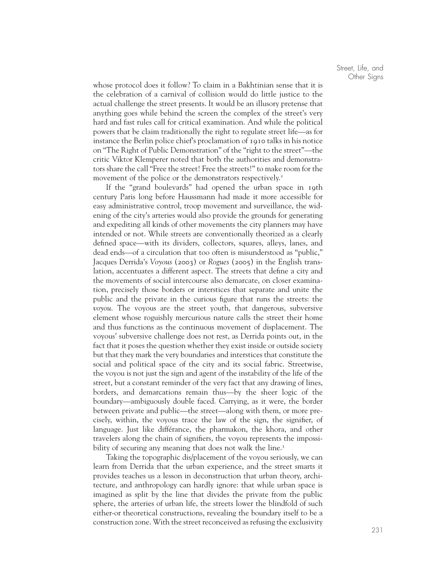whose protocol does it follow? To claim in a Bakhtinian sense that it is the celebration of a carnival of collision would do little justice to the actual challenge the street presents. It would be an illusory pretense that anything goes while behind the screen the complex of the street's very hard and fast rules call for critical examination. And while the political powers that be claim traditionally the right to regulate street life—as for instance the Berlin police chief's proclamation of 1910 talks in his notice on "The Right of Public Demonstration" of the "right to the street"—the critic Viktor Klemperer noted that both the authorities and demonstrators share the call "Free the street! Free the streets!" to make room for the movement of the police or the demonstrators respectively.<sup>2</sup>

If the "grand boulevards" had opened the urban space in 19th century Paris long before Haussmann had made it more accessible for easy administrative control, troop movement and surveillance, the widening of the city's arteries would also provide the grounds for generating and expediting all kinds of other movements the city planners may have intended or not. While streets are conventionally theorized as a clearly defined space—with its dividers, collectors, squares, alleys, lanes, and dead ends—of a circulation that too often is misunderstood as "public," Jacques Derrida's *Voyous* (2003) or *Rogues* (2005) in the English translation, accentuates a different aspect. The streets that define a city and the movements of social intercourse also demarcate, on closer examination, precisely those borders or interstices that separate and unite the public and the private in the curious figure that runs the streets: the *voyou*. The voyous are the street youth, that dangerous, subversive element whose roguishly mercurious nature calls the street their home and thus functions as the continuous movement of displacement. The voyous' subversive challenge does not rest, as Derrida points out, in the fact that it poses the question whether they exist inside or outside society but that they mark the very boundaries and interstices that constitute the social and political space of the city and its social fabric. Streetwise, the voyou is not just the sign and agent of the instability of the life of the street, but a constant reminder of the very fact that any drawing of lines, borders, and demarcations remain thus—by the sheer logic of the boundary—ambiguously double faced. Carrying, as it were, the border between private and public—the street—along with them, or more precisely, within, the voyous trace the law of the sign, the signifier, of language. Just like différance, the pharmakon, the khora, and other travelers along the chain of signifiers, the voyou represents the impossibility of securing any meaning that does not walk the line.<sup>3</sup>

Taking the topographic dis/placement of the voyou seriously, we can learn from Derrida that the urban experience, and the street smarts it provides teaches us a lesson in deconstruction that urban theory, architecture, and anthropology can hardly ignore: that while urban space is imagined as split by the line that divides the private from the public sphere, the arteries of urban life, the streets lower the blindfold of such either-or theoretical constructions, revealing the boundary itself to be a construction zone. With the street reconceived as refusing the exclusivity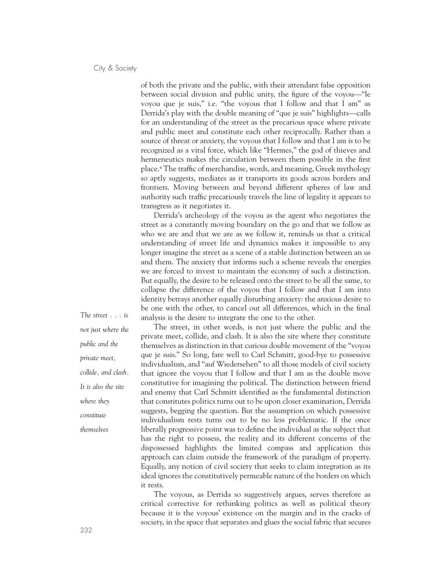of both the private and the public, with their attendant false opposition between social division and public unity, the figure of the voyou—"le voyou que je suis," i.e. "the voyous that I follow and that I am" as Derrida's play with the double meaning of "que je suis" highlights—calls for an understanding of the street as the precarious space where private and public meet and constitute each other reciprocally. Rather than a source of threat or anxiety, the voyous that I follow and that I am is to be recognized as a vital force, which like "Hermes," the god of thieves and hermeneutics makes the circulation between them possible in the first place.<sup>4</sup> The traffic of merchandise, words, and meaning, Greek mythology so aptly suggests, mediates as it transports its goods across borders and frontiers. Moving between and beyond different spheres of law and authority such traffic precariously travels the line of legality it appears to transgress as it negotiates it.

Derrida's archeology of the voyou as the agent who negotiates the street as a constantly moving boundary on the go and that we follow as who we are and that we are as we follow it, reminds us that a critical understanding of street life and dynamics makes it impossible to any longer imagine the street as a scene of a stable distinction between an us and them. The anxiety that informs such a scheme reveals the energies we are forced to invest to maintain the economy of such a distinction. But equally, the desire to be released onto the street to be all the same, to collapse the difference of the voyou that I follow and that I am into identity betrays another equally disturbing anxiety: the anxious desire to be one with the other, to cancel out all differences, which in the final analysis is the desire to integrate the one to the other.

The street, in other words, is not just where the public and the private meet, collide, and clash. It is also the site where they constitute themselves as distinction in that curious double movement of the "voyou que je suis." So long, fare well to Carl Schmitt, good-bye to possessive individualism, and "auf Wiedersehen" to all those models of civil society that ignore the voyou that I follow and that I am as the double move constitutive for imagining the political. The distinction between friend and enemy that Carl Schmitt identified as the fundamental distinction that constitutes politics turns out to be upon closer examination, Derrida suggests, begging the question. But the assumption on which possessive individualism rests turns out to be no less problematic. If the once liberally progressive point was to define the individual as the subject that has the right to possess, the reality and its different concerns of the dispossessed highlights the limited compass and application this approach can claim outside the framework of the paradigm of property. Equally, any notion of civil society that seeks to claim integration as its ideal ignores the constitutively permeable nature of the borders on which it rests.

The voyous, as Derrida so suggestively argues, serves therefore as critical corrective for rethinking politics as well as political theory because it is the voyous' existence on the margin and in the cracks of society, in the space that separates and glues the social fabric that secures

*not just where the public and the private meet, collide, and clash. It is also the site where they constitute*

*The street . . . is*

*themselves*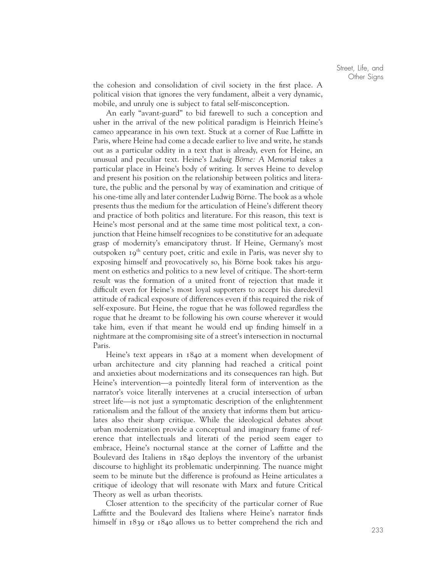the cohesion and consolidation of civil society in the first place. A political vision that ignores the very fundament, albeit a very dynamic, mobile, and unruly one is subject to fatal self-misconception.

An early "avant-guard" to bid farewell to such a conception and usher in the arrival of the new political paradigm is Heinrich Heine's cameo appearance in his own text. Stuck at a corner of Rue Laffitte in Paris, where Heine had come a decade earlier to live and write, he stands out as a particular oddity in a text that is already, even for Heine, an unusual and peculiar text. Heine's *Ludwig Börne: A Memorial* takes a particular place in Heine's body of writing. It serves Heine to develop and present his position on the relationship between politics and literature, the public and the personal by way of examination and critique of his one-time ally and later contender Ludwig Börne. The book as a whole presents thus the medium for the articulation of Heine's different theory and practice of both politics and literature. For this reason, this text is Heine's most personal and at the same time most political text, a conjunction that Heine himself recognizes to be constitutive for an adequate grasp of modernity's emancipatory thrust. If Heine, Germany's most outspoken 19<sup>th</sup> century poet, critic and exile in Paris, was never shy to exposing himself and provocatively so, his Börne book takes his argument on esthetics and politics to a new level of critique. The short-term result was the formation of a united front of rejection that made it difficult even for Heine's most loyal supporters to accept his daredevil attitude of radical exposure of differences even if this required the risk of self-exposure. But Heine, the rogue that he was followed regardless the rogue that he dreamt to be following his own course wherever it would take him, even if that meant he would end up finding himself in a nightmare at the compromising site of a street's intersection in nocturnal Paris.

Heine's text appears in 1840 at a moment when development of urban architecture and city planning had reached a critical point and anxieties about modernizations and its consequences ran high. But Heine's intervention—a pointedly literal form of intervention as the narrator's voice literally intervenes at a crucial intersection of urban street life—is not just a symptomatic description of the enlightenment rationalism and the fallout of the anxiety that informs them but articulates also their sharp critique. While the ideological debates about urban modernization provide a conceptual and imaginary frame of reference that intellectuals and literati of the period seem eager to embrace, Heine's nocturnal stance at the corner of Laffitte and the Boulevard des Italiens in 1840 deploys the inventory of the urbanist discourse to highlight its problematic underpinning. The nuance might seem to be minute but the difference is profound as Heine articulates a critique of ideology that will resonate with Marx and future Critical Theory as well as urban theorists.

Closer attention to the specificity of the particular corner of Rue Laffitte and the Boulevard des Italiens where Heine's narrator finds himself in 1839 or 1840 allows us to better comprehend the rich and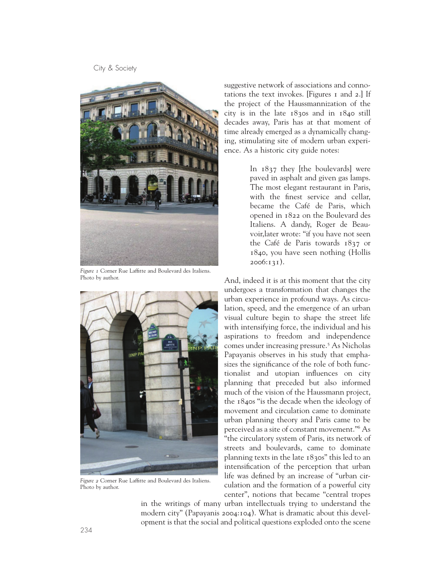

*Figure 1* Corner Rue Laffitte and Boulevard des Italiens. Photo by author.



*Figure 2* Corner Rue Laffitte and Boulevard des Italiens. Photo by author.

suggestive network of associations and connotations the text invokes. [Figures 1 and 2.] If the project of the Haussmannization of the city is in the late 1830s and in 1840 still decades away, Paris has at that moment of time already emerged as a dynamically changing, stimulating site of modern urban experience. As a historic city guide notes:

> In 1837 they [the boulevards] were paved in asphalt and given gas lamps. The most elegant restaurant in Paris, with the finest service and cellar, became the Café de Paris, which opened in 1822 on the Boulevard des Italiens. A dandy, Roger de Beauvoir,later wrote: "if you have not seen the Café de Paris towards 1837 or 1840, you have seen nothing (Hollis 2006:131).

And, indeed it is at this moment that the city undergoes a transformation that changes the urban experience in profound ways. As circulation, speed, and the emergence of an urban visual culture begin to shape the street life with intensifying force, the individual and his aspirations to freedom and independence comes under increasing pressure.<sup>5</sup> As Nicholas Papayanis observes in his study that emphasizes the significance of the role of both functionalist and utopian influences on city planning that preceded but also informed much of the vision of the Haussmann project, the 1840s "is the decade when the ideology of movement and circulation came to dominate urban planning theory and Paris came to be perceived as a site of constant movement."<sup>6</sup> As "the circulatory system of Paris, its network of streets and boulevards, came to dominate planning texts in the late 1830s" this led to an intensification of the perception that urban life was defined by an increase of "urban circulation and the formation of a powerful city center", notions that became "central tropes

in the writings of many urban intellectuals trying to understand the modern city" (Papayanis 2004:104). What is dramatic about this development is that the social and political questions exploded onto the scene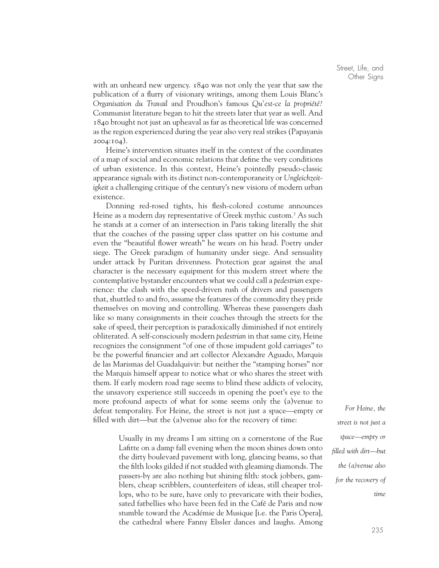with an unheard new urgency. 1840 was not only the year that saw the publication of a flurry of visionary writings, among them Louis Blanc's *Organisation du Travail* and Proudhon's famous *Qu'est-ce la propriété?* Communist literature began to hit the streets later that year as well. And 1840 brought not just an upheaval as far as theoretical life was concerned as the region experienced during the year also very real strikes (Papayanis 2004:104).

Heine's intervention situates itself in the context of the coordinates of a map of social and economic relations that define the very conditions of urban existence. In this context, Heine's pointedly pseudo-classic appearance signals with its distinct non-contemporaneity or *Ungleichzeitigkeit* a challenging critique of the century's new visions of modern urban existence.

Donning red-rosed tights, his flesh-colored costume announces Heine as a modern day representative of Greek mythic custom.<sup>7</sup> As such he stands at a corner of an intersection in Paris taking literally the shit that the coaches of the passing upper class spatter on his costume and even the "beautiful flower wreath" he wears on his head. Poetry under siege. The Greek paradigm of humanity under siege. And sensuality under attack by Puritan drivenness. Protection gear against the anal character is the necessary equipment for this modern street where the contemplative bystander encounters what we could call a *pedestrian* experience: the clash with the speed-driven rush of drivers and passengers that, shuttled to and fro, assume the features of the commodity they pride themselves on moving and controlling. Whereas these passengers dash like so many consignments in their coaches through the streets for the sake of speed, their perception is paradoxically diminished if not entirely obliterated. A self-consciously modern *pedestrian* in that same city, Heine recognizes the consignment "of one of those impudent gold carriages" to be the powerful financier and art collector Alexandre Aguado, Marquis de las Marismas del Guadalquivir: but neither the "stamping horses" nor the Marquis himself appear to notice what or who shares the street with them. If early modern road rage seems to blind these addicts of velocity, the unsavory experience still succeeds in opening the poet's eye to the more profound aspects of what for some seems only the (a)venue to defeat temporality. For Heine, the street is not just a space—empty or filled with dirt—but the (a)venue also for the recovery of time:

> Usually in my dreams I am sitting on a cornerstone of the Rue Lafitte on a damp fall evening when the moon shines down onto the dirty boulevard pavement with long, glancing beams, so that the filth looks gilded if not studded with gleaming diamonds. The passers-by are also nothing but shining filth: stock jobbers, gamblers, cheap scribblers, counterfeiters of ideas, still cheaper trollops, who to be sure, have only to prevaricate with their bodies, sated fatbellies who have been fed in the Café de Paris and now stumble toward the Académie de Musique [i.e. the Paris Opera], the cathedral where Fanny Elssler dances and laughs. Among

*For Heine, the street is not just a space—empty or filled with dirt—but the (a)venue also for the recovery of time*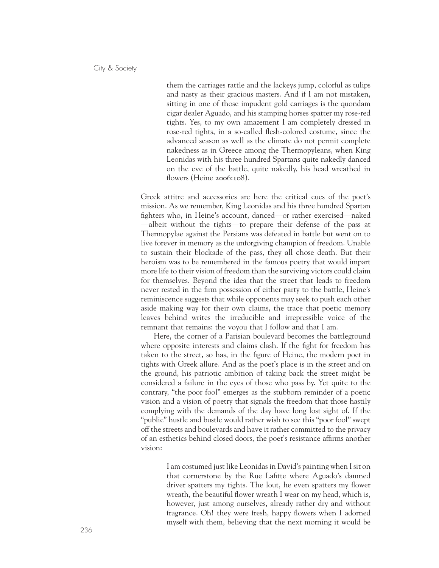them the carriages rattle and the lackeys jump, colorful as tulips and nasty as their gracious masters. And if I am not mistaken, sitting in one of those impudent gold carriages is the quondam cigar dealer Aguado, and his stamping horses spatter my rose-red tights. Yes, to my own amazement I am completely dressed in rose-red tights, in a so-called flesh-colored costume, since the advanced season as well as the climate do not permit complete nakedness as in Greece among the Thermopyleans, when King Leonidas with his three hundred Spartans quite nakedly danced on the eve of the battle, quite nakedly, his head wreathed in flowers (Heine 2006:108).

Greek attitre and accessories are here the critical cues of the poet's mission. As we remember, King Leonidas and his three hundred Spartan fighters who, in Heine's account, danced—or rather exercised—naked —albeit without the tights—to prepare their defense of the pass at Thermopylae against the Persians was defeated in battle but went on to live forever in memory as the unforgiving champion of freedom. Unable to sustain their blockade of the pass, they all chose death. But their heroism was to be remembered in the famous poetry that would impart more life to their vision of freedom than the surviving victors could claim for themselves. Beyond the idea that the street that leads to freedom never rested in the firm possession of either party to the battle, Heine's reminiscence suggests that while opponents may seek to push each other aside making way for their own claims, the trace that poetic memory leaves behind writes the irreducible and irrepressible voice of the remnant that remains: the voyou that I follow and that I am.

Here, the corner of a Parisian boulevard becomes the battleground where opposite interests and claims clash. If the fight for freedom has taken to the street, so has, in the figure of Heine, the modern poet in tights with Greek allure. And as the poet's place is in the street and on the ground, his patriotic ambition of taking back the street might be considered a failure in the eyes of those who pass by. Yet quite to the contrary, "the poor fool" emerges as the stubborn reminder of a poetic vision and a vision of poetry that signals the freedom that those hastily complying with the demands of the day have long lost sight of. If the "public" hustle and bustle would rather wish to see this "poor fool" swept off the streets and boulevards and have it rather committed to the privacy of an esthetics behind closed doors, the poet's resistance affirms another vision:

> I am costumed just like Leonidas in David's painting when I sit on that cornerstone by the Rue Lafitte where Aguado's damned driver spatters my tights. The lout, he even spatters my flower wreath, the beautiful flower wreath I wear on my head, which is, however, just among ourselves, already rather dry and without fragrance. Oh! they were fresh, happy flowers when I adorned myself with them, believing that the next morning it would be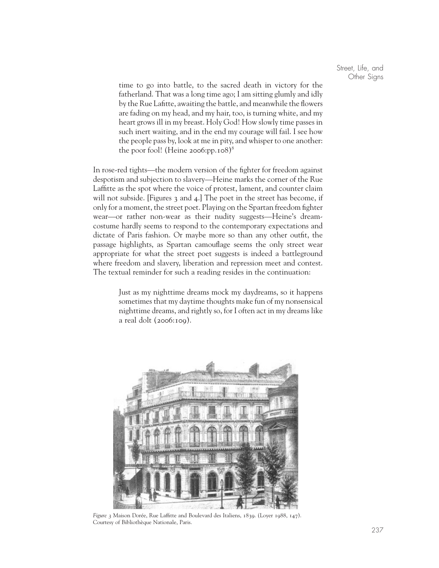time to go into battle, to the sacred death in victory for the fatherland. That was a long time ago; I am sitting glumly and idly by the Rue Lafitte, awaiting the battle, and meanwhile the flowers are fading on my head, and my hair, too, is turning white, and my heart grows ill in my breast. Holy God! How slowly time passes in such inert waiting, and in the end my courage will fail. I see how the people pass by, look at me in pity, and whisper to one another: the poor fool! (Heine 2006:pp.108)<sup>8</sup>

In rose-red tights—the modern version of the fighter for freedom against despotism and subjection to slavery—Heine marks the corner of the Rue Laffitte as the spot where the voice of protest, lament, and counter claim will not subside. [Figures 3 and 4.] The poet in the street has become, if only for a moment, the street poet. Playing on the Spartan freedom fighter wear—or rather non-wear as their nudity suggests—Heine's dreamcostume hardly seems to respond to the contemporary expectations and dictate of Paris fashion. Or maybe more so than any other outfit, the passage highlights, as Spartan camouflage seems the only street wear appropriate for what the street poet suggests is indeed a battleground where freedom and slavery, liberation and repression meet and contest. The textual reminder for such a reading resides in the continuation:

> Just as my nighttime dreams mock my daydreams, so it happens sometimes that my daytime thoughts make fun of my nonsensical nighttime dreams, and rightly so, for I often act in my dreams like a real dolt (2006:109).



*Figure 3* Maison Dorée, Rue Laffitte and Boulevard des Italiens, 1839. (Loyer 1988, 147). Courtesy of Bibliothèque Nationale, Paris.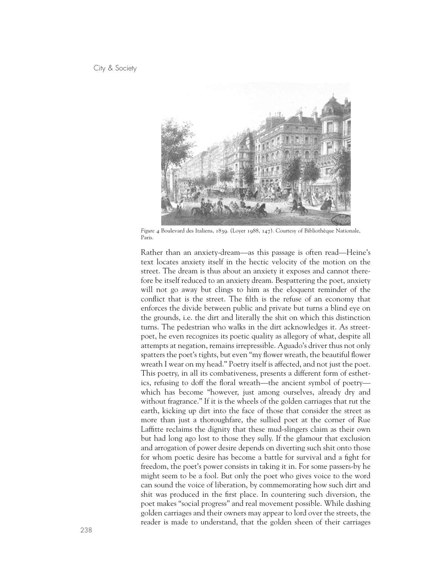

*Figure 4* Boulevard des Italiens, 1839. (Loyer 1988, 147). Courtesy of Bibliothèque Nationale, Paris.

Rather than an anxiety-dream—as this passage is often read—Heine's text locates anxiety itself in the hectic velocity of the motion on the street. The dream is thus about an anxiety it exposes and cannot therefore be itself reduced to an anxiety dream. Bespattering the poet, anxiety will not go away but clings to him as the eloquent reminder of the conflict that is the street. The filth is the refuse of an economy that enforces the divide between public and private but turns a blind eye on the grounds, i.e. the dirt and literally the shit on which this distinction turns. The pedestrian who walks in the dirt acknowledges it. As streetpoet, he even recognizes its poetic quality as allegory of what, despite all attempts at negation, remains irrepressible. Aguado's driver thus not only spatters the poet's tights, but even "my flower wreath, the beautiful flower wreath I wear on my head." Poetry itself is affected, and not just the poet. This poetry, in all its combativeness, presents a different form of esthetics, refusing to doff the floral wreath—the ancient symbol of poetry which has become "however, just among ourselves, already dry and without fragrance." If it is the wheels of the golden carriages that rut the earth, kicking up dirt into the face of those that consider the street as more than just a thoroughfare, the sullied poet at the corner of Rue Laffitte reclaims the dignity that these mud-slingers claim as their own but had long ago lost to those they sully. If the glamour that exclusion and arrogation of power desire depends on diverting such shit onto those for whom poetic desire has become a battle for survival and a fight for freedom, the poet's power consists in taking it in. For some passers-by he might seem to be a fool. But only the poet who gives voice to the word can sound the voice of liberation, by commemorating how such dirt and shit was produced in the first place. In countering such diversion, the poet makes "social progress" and real movement possible. While dashing golden carriages and their owners may appear to lord over the streets, the reader is made to understand, that the golden sheen of their carriages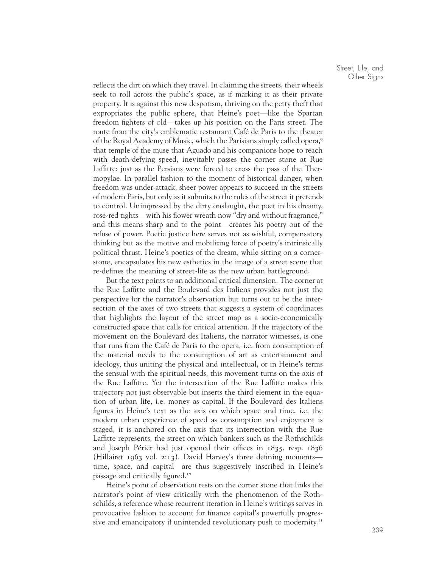reflects the dirt on which they travel. In claiming the streets, their wheels seek to roll across the public's space, as if marking it as their private property. It is against this new despotism, thriving on the petty theft that expropriates the public sphere, that Heine's poet—like the Spartan freedom fighters of old—takes up his position on the Paris street. The route from the city's emblematic restaurant Café de Paris to the theater of the Royal Academy of Music, which the Parisians simply called opera,<sup>9</sup> that temple of the muse that Aguado and his companions hope to reach with death-defying speed, inevitably passes the corner stone at Rue Laffitte: just as the Persians were forced to cross the pass of the Thermopylae. In parallel fashion to the moment of historical danger, when freedom was under attack, sheer power appears to succeed in the streets of modern Paris, but only as it submits to the rules of the street it pretends to control. Unimpressed by the dirty onslaught, the poet in his dreamy, rose-red tights—with his flower wreath now "dry and without fragrance," and this means sharp and to the point—creates his poetry out of the refuse of power. Poetic justice here serves not as wishful, compensatory thinking but as the motive and mobilizing force of poetry's intrinsically political thrust. Heine's poetics of the dream, while sitting on a cornerstone, encapsulates his new esthetics in the image of a street scene that re-defines the meaning of street-life as the new urban battleground.

But the text points to an additional critical dimension. The corner at the Rue Laffitte and the Boulevard des Italiens provides not just the perspective for the narrator's observation but turns out to be the intersection of the axes of two streets that suggests a system of coordinates that highlights the layout of the street map as a socio-economically constructed space that calls for critical attention. If the trajectory of the movement on the Boulevard des Italiens, the narrator witnesses, is one that runs from the Café de Paris to the opera, i.e. from consumption of the material needs to the consumption of art as entertainment and ideology, thus uniting the physical and intellectual, or in Heine's terms the sensual with the spiritual needs, this movement turns on the axis of the Rue Laffitte. Yet the intersection of the Rue Laffitte makes this trajectory not just observable but inserts the third element in the equation of urban life, i.e. money as capital. If the Boulevard des Italiens figures in Heine's text as the axis on which space and time, i.e. the modern urban experience of speed as consumption and enjoyment is staged, it is anchored on the axis that its intersection with the Rue Laffitte represents, the street on which bankers such as the Rothschilds and Joseph Périer had just opened their offices in 1835, resp. 1836 (Hillairet 1963 vol. 2:13). David Harvey's three defining moments time, space, and capital—are thus suggestively inscribed in Heine's passage and critically figured.<sup>10</sup>

Heine's point of observation rests on the corner stone that links the narrator's point of view critically with the phenomenon of the Rothschilds, a reference whose recurrent iteration in Heine's writings serves in provocative fashion to account for finance capital's powerfully progressive and emancipatory if unintended revolutionary push to modernity.<sup>11</sup>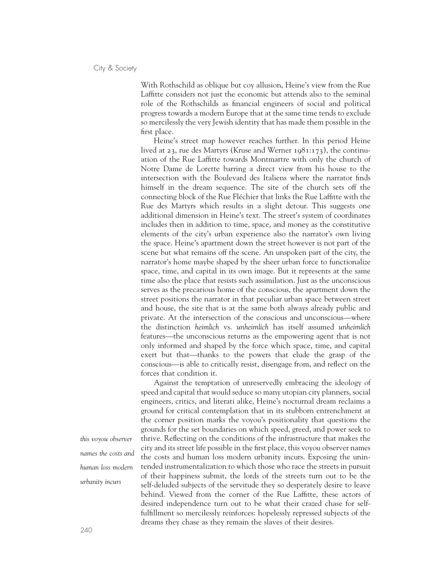With Rothschild as oblique but coy allusion, Heine's view from the Rue Laffitte considers not just the economic but attends also to the seminal role of the Rothschilds as financial engineers of social and political progress towards a modern Europe that at the same time tends to exclude so mercilessly the very Jewish identity that has made them possible in the first place.

Heine's street map however reaches further. In this period Heine lived at 23, rue des Martyrs (Kruse and Werner 1981:173), the continuation of the Rue Laffitte towards Montmartre with only the church of Notre Dame de Lorette barring a direct view from his house to the intersection with the Boulevard des Italiens where the narrator finds himself in the dream sequence. The site of the church sets off the connecting block of the Rue Fléchier that links the Rue Laffitte with the Rue des Martyrs which results in a slight detour. This suggests one additional dimension in Heine's text. The street's system of coordinates includes then in addition to time, space, and money as the constitutive elements of the city's urban experience also the narrator's own living the space. Heine's apartment down the street however is not part of the scene but what remains off the scene. An unspoken part of the city, the narrator's home maybe shaped by the sheer urban force to functionalize space, time, and capital in its own image. But it represents at the same time also the place that resists such assimilation. Just as the unconscious serves as the precarious home of the conscious, the apartment down the street positions the narrator in that peculiar urban space between street and house, the site that is at the same both always already public and private. At the intersection of the conscious and unconscious—where the distinction *heimlich* vs. *unheimlich* has itself assumed *unheimlich* features—the unconscious returns as the empowering agent that is not only informed and shaped by the force which space, time, and capital exert but that—thanks to the powers that elude the grasp of the conscious—is able to critically resist, disengage from, and reflect on the forces that condition it.

Against the temptation of unreservedly embracing the ideology of speed and capital that would seduce so many utopian city planners, social engineers, critics, and literati alike, Heine's nocturnal dream reclaims a ground for critical contemplation that in its stubborn entrenchment at the corner position marks the voyou's positionality that questions the grounds for the set boundaries on which speed, greed, and power seek to thrive. Reflecting on the conditions of the infrastructure that makes the city and its street life possible in the first place, this voyou observer names the costs and human loss modern urbanity incurs. Exposing the unintended instrumentalization to which those who race the streets in pursuit of their happiness submit, the lords of the streets turn out to be the self-deluded subjects of the servitude they so desperately desire to leave behind. Viewed from the corner of the Rue Laffitte, these actors of desired independence turn out to be what their crazed chase for selffulfillment so mercilessly reinforces: hopelessly repressed subjects of the dreams they chase as they remain the slaves of their desires.

*this voyou observer names the costs and human loss modern urbanity incurs*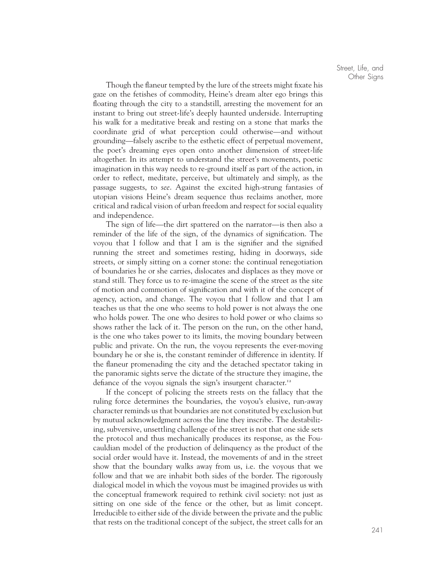Though the flaneur tempted by the lure of the streets might fixate his gaze on the fetishes of commodity, Heine's dream alter ego brings this floating through the city to a standstill, arresting the movement for an instant to bring out street-life's deeply haunted underside. Interrupting his walk for a meditative break and resting on a stone that marks the coordinate grid of what perception could otherwise—and without grounding—falsely ascribe to the esthetic effect of perpetual movement, the poet's dreaming eyes open onto another dimension of street-life altogether. In its attempt to understand the street's movements, poetic imagination in this way needs to re-ground itself as part of the action, in order to reflect, meditate, perceive, but ultimately and simply, as the passage suggests, to *see*. Against the excited high-strung fantasies of utopian visions Heine's dream sequence thus reclaims another, more critical and radical vision of urban freedom and respect for social equality and independence.

The sign of life—the dirt spattered on the narrator—is then also a reminder of the life of the sign, of the dynamics of signification. The voyou that I follow and that I am is the signifier and the signified running the street and sometimes resting, hiding in doorways, side streets, or simply sitting on a corner stone: the continual renegotiation of boundaries he or she carries, dislocates and displaces as they move or stand still. They force us to re-imagine the scene of the street as the site of motion and commotion of signification and with it of the concept of agency, action, and change. The voyou that I follow and that I am teaches us that the one who seems to hold power is not always the one who holds power. The one who desires to hold power or who claims so shows rather the lack of it. The person on the run, on the other hand, is the one who takes power to its limits, the moving boundary between public and private. On the run, the voyou represents the ever-moving boundary he or she is, the constant reminder of difference in identity. If the flaneur promenading the city and the detached spectator taking in the panoramic sights serve the dictate of the structure they imagine, the defiance of the voyou signals the sign's insurgent character.<sup>12</sup>

If the concept of policing the streets rests on the fallacy that the ruling force determines the boundaries, the voyou's elusive, run-away character reminds us that boundaries are not constituted by exclusion but by mutual acknowledgment across the line they inscribe. The destabilizing, subversive, unsettling challenge of the street is not that one side sets the protocol and thus mechanically produces its response, as the Foucauldian model of the production of delinquency as the product of the social order would have it. Instead, the movements of and in the street show that the boundary walks away from us, i.e. the voyous that we follow and that we are inhabit both sides of the border. The rigorously dialogical model in which the voyous must be imagined provides us with the conceptual framework required to rethink civil society: not just as sitting on one side of the fence or the other, but as limit concept. Irreducible to either side of the divide between the private and the public that rests on the traditional concept of the subject, the street calls for an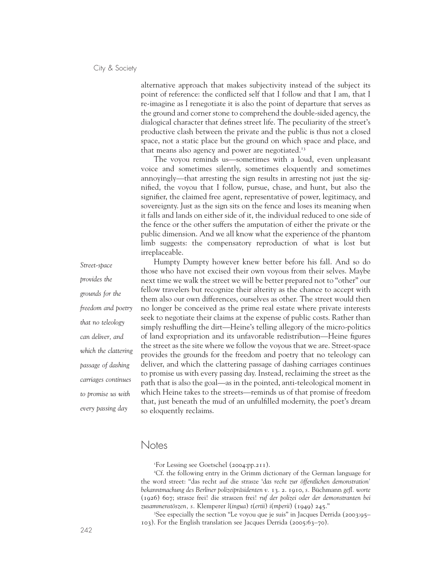alternative approach that makes subjectivity instead of the subject its point of reference: the conflicted self that I follow and that I am, that I re-imagine as I renegotiate it is also the point of departure that serves as the ground and corner stone to comprehend the double-sided agency, the dialogical character that defines street life. The peculiarity of the street's productive clash between the private and the public is thus not a closed space, not a static place but the ground on which space and place, and that means also agency and power are negotiated.<sup>13</sup>

The voyou reminds us—sometimes with a loud, even unpleasant voice and sometimes silently, sometimes eloquently and sometimes annoyingly—that arresting the sign results in arresting not just the signified, the voyou that I follow, pursue, chase, and hunt, but also the signifier, the claimed free agent, representative of power, legitimacy, and sovereignty. Just as the sign sits on the fence and loses its meaning when it falls and lands on either side of it, the individual reduced to one side of the fence or the other suffers the amputation of either the private or the public dimension. And we all know what the experience of the phantom limb suggests: the compensatory reproduction of what is lost but irreplaceable.

*Street-space provides the grounds for the freedom and poetry that no teleology can deliver, and which the clattering passage of dashing carriages continues to promise us with every passing day*

Humpty Dumpty however knew better before his fall. And so do those who have not excised their own voyous from their selves. Maybe next time we walk the street we will be better prepared not to "other" our fellow travelers but recognize their alterity as the chance to accept with them also our own differences, ourselves as other. The street would then no longer be conceived as the prime real estate where private interests seek to negotiate their claims at the expense of public costs. Rather than simply reshuffling the dirt—Heine's telling allegory of the micro-politics of land expropriation and its unfavorable redistribution—Heine figures the street as the site where we follow the voyous that we are. Street-space provides the grounds for the freedom and poetry that no teleology can deliver, and which the clattering passage of dashing carriages continues to promise us with every passing day. Instead, reclaiming the street as the path that is also the goal—as in the pointed, anti-teleological moment in which Heine takes to the streets—reminds us of that promise of freedom that, just beneath the mud of an unfulfilled modernity, the poet's dream so eloquently reclaims.

#### **Notes**

1 For Lessing see Goetschel (2004:pp.211).

2 Cf. the following entry in the Grimm dictionary of the German language for the word street: "das recht auf die strasze 'd*as recht zur öffentlichen demonstration' bekanntmachung des Berliner polizeipräsidenten v.* 13. 2. 1910, *s.* Büchmann *gefl. worte* (1926) 607; strasze frei! die straszen frei! *ruf der polizei oder der demonstranten bei zusammenstöszen, s.* Klemperer *l*(*ingua*) *t*(*ertii*) *i*(*mperii*) (1949) 245."

3 See especially the section "Le voyou que je suis" in Jacques Derrida (2003:95– 103). For the English translation see Jacques Derrida (2005:63–70).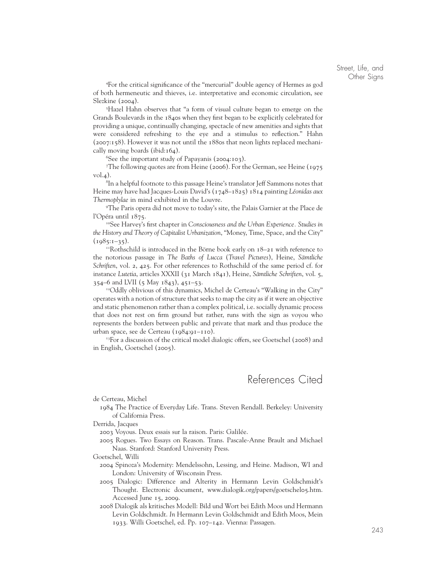4 For the critical significance of the "mercurial" double agency of Hermes as god of both hermeneutic and thieves, i.e. interpretative and economic circulation, see Slezkine (2004).

5 Hazel Hahn observes that "a form of visual culture began to emerge on the Grands Boulevards in the 1840s when they first began to be explicitly celebrated for providing a unique, continually changing, spectacle of new amenities and sights that were considered refreshing to the eye and a stimulus to reflection." Hahn (2007:158). However it was not until the 1880s that neon lights replaced mechanically moving boards (ibid: $164$ ).

6 See the important study of Papayanis (2004:103).

7 The following quotes are from Heine (2006). For the German, see Heine (1975 vol.4).

8 In a helpful footnote to this passage Heine's translator Jeff Sammons notes that Heine may have had Jacques-Louis David's (1748–1825) 1814 painting *Léonidas aux Thermoplylae* in mind exhibited in the Louvre.

9 The Paris opera did not move to today's site, the Palais Garnier at the Place de l'Opéra until 1875.

<sup>10</sup>See Harvey's first chapter in *Consciousness and the Urban Experience. Studies in the History and Theory of Capitalist Urbanization*, "Money, Time, Space, and the City"  $(1985:1-35)$ .

<sup>11</sup>Rothschild is introduced in the Börne book early on 18–21 with reference to the notorious passage in *The Baths of Lucca* (*Travel Pictures*), Heine, *Sämtliche Schriften*, vol. 2, 425. For other references to Rothschild of the same period cf. for instance *Lutetia*, articles XXXII (31 March 1841), Heine, *Sämtliche Schriften*, vol. 5, 354–6 and LVII (5 May 1843), 451–53.

<sup>12</sup>Oddly oblivious of this dynamics, Michel de Certeau's "Walking in the City" operates with a notion of structure that seeks to map the city as if it were an objective and static phenomenon rather than a complex political, i.e. socially dynamic process that does not rest on firm ground but rather, runs with the sign as voyou who represents the borders between public and private that mark and thus produce the urban space, see de Certeau (1984:91–110).

<sup>13</sup>For a discussion of the critical model dialogic offers, see Goetschel (2008) and in English, Goetschel (2005).

# References Cited

de Certeau, Michel

1984 The Practice of Everyday Life. Trans. Steven Rendall. Berkeley: University of California Press.

Derrida, Jacques

2003 Voyous. Deux essais sur la raison. Paris: Galilée.

2005 Rogues. Two Essays on Reason. Trans. Pascale-Anne Brault and Michael Naas. Stanford: Stanford University Press.

- 2004 Spinoza's Modernity: Mendelssohn, Lessing, and Heine. Madison, WI and London: University of Wisconsin Press.
- 2005 Dialogic: Difference and Alterity in Hermann Levin Goldschmidt's Thought. Electronic document, www.dialogik.org/papers/goetschel05.htm. Accessed June 15, 2009.
- 2008 Dialogik als kritisches Modell: Bild und Wort bei Edith Moos und Hermann Levin Goldschmidt. *In* Hermann Levin Goldschmidt and Edith Moos, Mein 1933. Willi Goetschel, ed. Pp. 107–142. Vienna: Passagen.

Goetschel, Willi